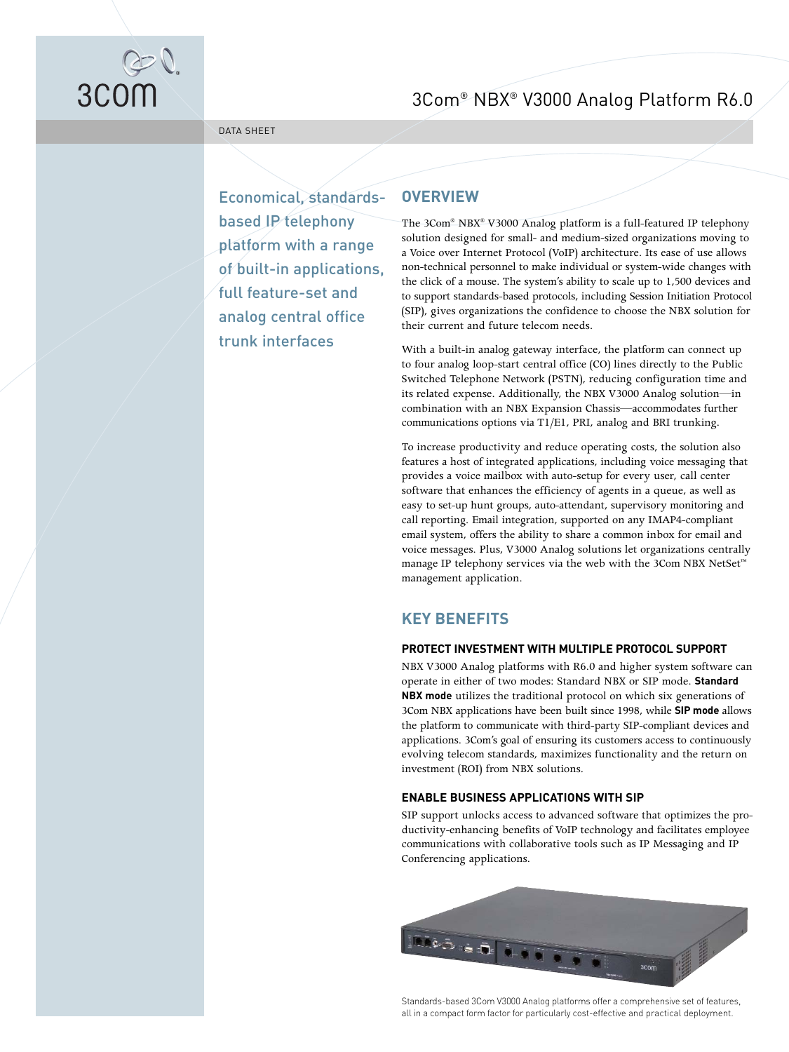

3Com® NBX® V3000 Analog Platform R6.0

DATA SHEET

Economical, standardsbased IP telephony platform with a range of built-in applications, full feature-set and analog central office trunk interfaces

# **OVERVIEW**

The 3Com® NBX® V3000 Analog platform is a full-featured IP telephony solution designed for small- and medium-sized organizations moving to a Voice over Internet Protocol (VoIP) architecture. Its ease of use allows non-technical personnel to make individual or system-wide changes with the click of a mouse. The system's ability to scale up to 1,500 devices and to support standards-based protocols, including Session Initiation Protocol (SIP), gives organizations the confidence to choose the NBX solution for their current and future telecom needs.

With a built-in analog gateway interface, the platform can connect up to four analog loop-start central office (CO) lines directly to the Public Switched Telephone Network (PSTN), reducing configuration time and its related expense. Additionally, the NBX V3000 Analog solution—in combination with an NBX Expansion Chassis—accommodates further communications options via T1/E1, PRI, analog and BRI trunking.

To increase productivity and reduce operating costs, the solution also features a host of integrated applications, including voice messaging that provides a voice mailbox with auto-setup for every user, call center software that enhances the efficiency of agents in a queue, as well as easy to set-up hunt groups, auto-attendant, supervisory monitoring and call reporting. Email integration, supported on any IMAP4-compliant email system, offers the ability to share a common inbox for email and voice messages. Plus, V3000 Analog solutions let organizations centrally manage IP telephony services via the web with the 3Com NBX NetSet™ management application.

# **KEY BENEFITS**

# **PROTECT INVESTMENT WITH MULTIPLE PROTOCOL SUPPORT**

NBX V3000 Analog platforms with R6.0 and higher system software can operate in either of two modes: Standard NBX or SIP mode. **Standard NBX mode** utilizes the traditional protocol on which six generations of 3Com NBX applications have been built since 1998, while **SIP mode** allows the platform to communicate with third-party SIP-compliant devices and applications. 3Com's goal of ensuring its customers access to continuously evolving telecom standards, maximizes functionality and the return on investment (ROI) from NBX solutions.

# **ENABLE BUSINESS APPLICATIONS WITH SIP**

SIP support unlocks access to advanced software that optimizes the productivity-enhancing benefits of VoIP technology and facilitates employee communications with collaborative tools such as IP Messaging and IP Conferencing applications.



Standards-based 3Com V3000 Analog platforms offer a comprehensive set of features, all in a compact form factor for particularly cost-effective and practical deployment.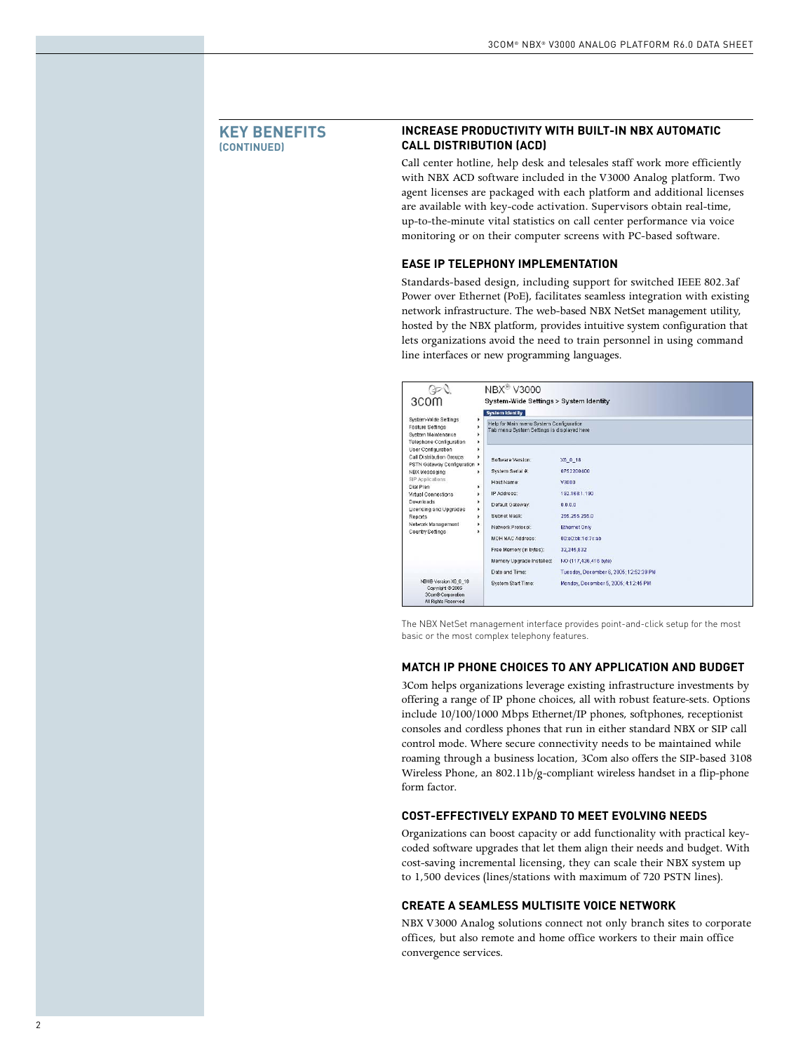## **KEY BENEFITS (CONTINUED)**

# **INCREASE PRODUCTIVITY WITH BUILT-IN NBX AUTOMATIC CALL DISTRIBUTION (ACD)**

Call center hotline, help desk and telesales staff work more efficiently with NBX ACD software included in the V3000 Analog platform. Two agent licenses are packaged with each platform and additional licenses are available with key-code activation. Supervisors obtain real-time, up-to-the-minute vital statistics on call center performance via voice monitoring or on their computer screens with PC-based software.

## **EASE IP TELEPHONY IMPLEMENTATION**

Standards-based design, including support for switched IEEE 802.3af Power over Ethernet (PoE), facilitates seamless integration with existing network infrastructure. The web-based NBX NetSet management utility, hosted by the NBX platform, provides intuitive system configuration that lets organizations avoid the need to train personnel in using command line interfaces or new programming languages.

| 3COM                                                                                                                 | <b>NBX<sup>®</sup> V3000</b><br>System-Wide Settings > System Identity                |                                        |  |  |
|----------------------------------------------------------------------------------------------------------------------|---------------------------------------------------------------------------------------|----------------------------------------|--|--|
|                                                                                                                      | <b>System Identity</b>                                                                |                                        |  |  |
| System-Wide Settings<br>٠<br><b>Feature Settings</b><br>٠<br>System Maintenance<br>٠<br>Telephone Configuration<br>٠ | Help for Main menu System Configuration<br>Tab menu System Settings is displayed here |                                        |  |  |
| User Configuration<br>٠<br>Call Distribution Groups<br>PSTN Gateway Configuration >                                  | Software Version:                                                                     | X6 0 18                                |  |  |
| NBX Messaging                                                                                                        | System Serial #:<br>٠                                                                 | 0752200400                             |  |  |
| SIP Applications<br>Dial Plan                                                                                        | Host Name:<br>٠                                                                       | V3000                                  |  |  |
| Virtual Connections                                                                                                  | IP Address:<br>٠                                                                      | 192.168.1.190                          |  |  |
| Downloads<br>Licensing and Upgrades                                                                                  | Default Gateway.<br>٠                                                                 | 0.0.0.0                                |  |  |
| Reports                                                                                                              | Subnet Mask:<br>٠                                                                     | 255.255.255.0                          |  |  |
| Network Management<br>٠<br>Country Settings<br>٠                                                                     | Network Protocol:                                                                     | <b>Ethernet Only</b>                   |  |  |
|                                                                                                                      | MOH MAC Address:                                                                      | 00:e0:bb:1d:7c:ab                      |  |  |
|                                                                                                                      | Free Memory (in bytes):                                                               | 32,245,832                             |  |  |
|                                                                                                                      | Memory Upgrade Installed:                                                             | NO (117,436,416 byte)                  |  |  |
|                                                                                                                      | Date and Time:                                                                        | Tuesday, December 6, 2005; 12:52:39 PM |  |  |
| NBX® Version X6_0_18<br>Copyright @ 2005<br>3Com® Corporation<br>All Rights Reserved                                 | System Start Time:                                                                    | Monday, December 5, 2005; 4:12:45 PM   |  |  |

The NBX NetSet management interface provides point-and-click setup for the most basic or the most complex telephony features.

## **MATCH IP PHONE CHOICES TO ANY APPLICATION AND BUDGET**

3Com helps organizations leverage existing infrastructure investments by offering a range of IP phone choices, all with robust feature-sets. Options include 10/100/1000 Mbps Ethernet/IP phones, softphones, receptionist consoles and cordless phones that run in either standard NBX or SIP call control mode. Where secure connectivity needs to be maintained while roaming through a business location, 3Com also offers the SIP-based 3108 Wireless Phone, an 802.11b/g-compliant wireless handset in a flip-phone form factor.

## **COST-EFFECTIVELY EXPAND TO MEET EVOLVING NEEDS**

Organizations can boost capacity or add functionality with practical keycoded software upgrades that let them align their needs and budget. With cost-saving incremental licensing, they can scale their NBX system up to 1,500 devices (lines/stations with maximum of 720 PSTN lines).

## **CREATE A SEAMLESS MULTISITE VOICE NETWORK**

NBX V3000 Analog solutions connect not only branch sites to corporate offices, but also remote and home office workers to their main office convergence services.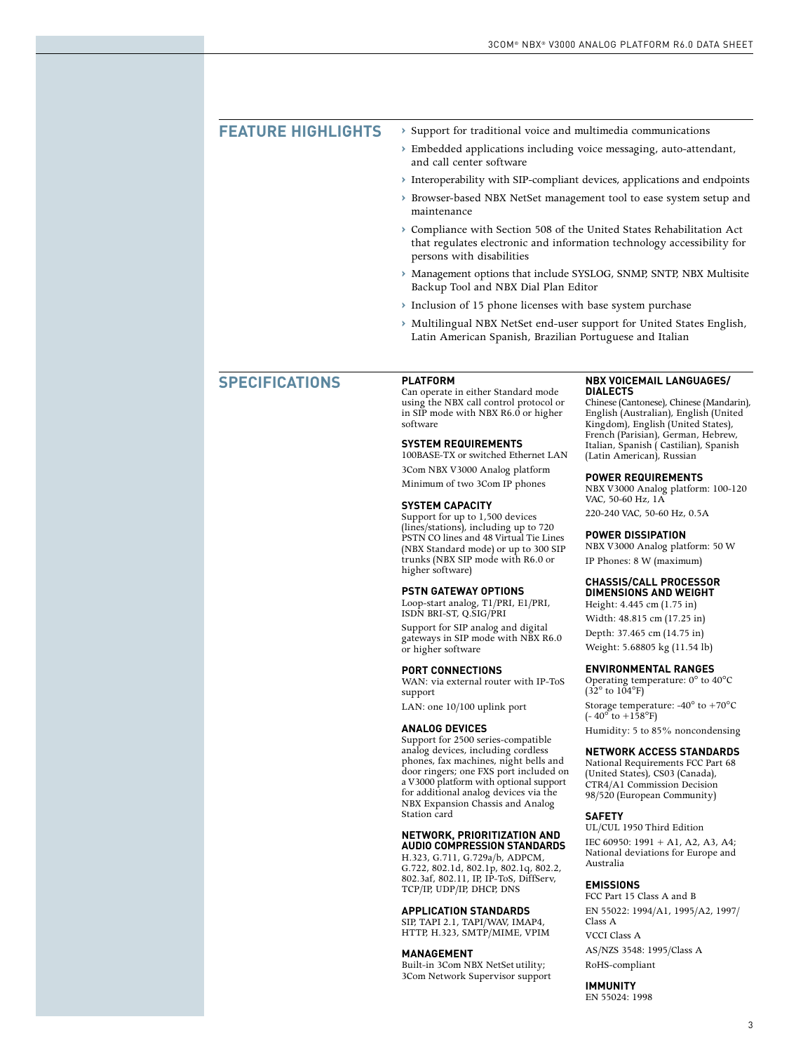| <b>FEATURE HIGHLIGHTS</b> | Support for traditional voice and multimedia communications                                                                                                                  |
|---------------------------|------------------------------------------------------------------------------------------------------------------------------------------------------------------------------|
|                           | > Embedded applications including voice messaging, auto-attendant,<br>and call center software                                                                               |
|                           | > Interoperability with SIP-compliant devices, applications and endpoints                                                                                                    |
|                           | > Browser-based NBX NetSet management tool to ease system setup and<br>maintenance                                                                                           |
|                           | ▶ Compliance with Section 508 of the United States Rehabilitation Act<br>that regulates electronic and information technology accessibility for<br>persons with disabilities |
|                           | > Management options that include SYSLOG, SNMP, SNTP, NBX Multisite<br>Backup Tool and NBX Dial Plan Editor                                                                  |
|                           | > Inclusion of 15 phone licenses with base system purchase                                                                                                                   |
|                           | > Multilingual NBX NetSet end-user support for United States English,<br>Latin American Spanish, Brazilian Portuguese and Italian                                            |
|                           |                                                                                                                                                                              |

# **SPECIFICATIONS**

**PLATFORM** Can operate in either Standard mode using the NBX call control protocol or in SIP mode with NBX R6.0 or higher software

### **SYSTEM REQUIREMENTS**

100BASE-TX or switched Ethernet LAN 3Com NBX V3000 Analog platform Minimum of two 3Com IP phones

#### **SYSTEM CAPACITY**

Support for up to 1,500 devices (lines/stations), including up to 720 PSTN CO lines and 48 Virtual Tie Lines (NBX Standard mode) or up to 300 SIP trunks (NBX SIP mode with R6.0 or higher software)

### **PSTN GATEWAY OPTIONS**

Loop-start analog, T1/PRI, E1/PRI, ISDN BRI-ST, Q.SIG/PRI

Support for SIP analog and digital gateways in SIP mode with NBX R6.0 or higher software

### **PORT CONNECTIONS**

WAN: via external router with IP-ToS support

LAN: one 10/100 uplink port

### **ANALOG DEVICES**

Support for 2500 series-compatible analog devices, including cordless phones, fax machines, night bells and door ringers; one FXS port included on a V3000 platform with optional support for additional analog devices via the NBX Expansion Chassis and Analog Station card

## **NETWORK, PRIORITIZATION AND**

**AUDIO COMPRESSION STANDARDS** H.323, G.711, G.729a/b, ADPCM, G.722, 802.1d, 802.1p, 802.1q, 802.2, 802.3af, 802.11, IP, IP-ToS, DiffServ, TCP/IP, UDP/IP, DHCP, DNS

#### **APPLICATION STANDARDS**

SIP, TAPI 2.1, TAPI/WAV, IMAP4, HTTP, H.323, SMTP/MIME, VPIM

#### **MANAGEMENT**

Built-in 3Com NBX NetSet utility; 3Com Network Supervisor support

### **NBX VOICEMAIL LANGUAGES/ DIALECTS**

Chinese (Cantonese), Chinese (Mandarin), English (Australian), English (United Kingdom), English (United States), French (Parisian), German, Hebrew, Italian, Spanish ( Castilian), Spanish (Latin American), Russian

### **POWER REQUIREMENTS**

NBX V3000 Analog platform: 100-120 VAC, 50-60 Hz, 1A 220-240 VAC, 50-60 Hz, 0.5A

### **POWER DISSIPATION**

NBX V3000 Analog platform: 50 W IP Phones: 8 W (maximum)

## **CHASSIS/CALL PROCESSOR**

**DIMENSIONS AND WEIGHT** Height: 4.445 cm (1.75 in) Width: 48.815 cm (17.25 in)

Depth: 37.465 cm (14.75 in) Weight: 5.68805 kg (11.54 lb)

#### **ENVIRONMENTAL RANGES**

Operating temperature: 0° to 40°C  $(32^\circ$  to  $104^\circ$ F) Storage temperature: -40° to +70°C  $(-40^{\circ}$  to  $+158^{\circ}$ F)

Humidity: 5 to 85% noncondensing

### **NETWORK ACCESS STANDARDS**

National Requirements FCC Part 68 (United States), CS03 (Canada), CTR4/A1 Commission Decision 98/520 (European Community)

## **SAFETY**

UL/CUL 1950 Third Edition IEC 60950: 1991 + A1, A2, A3, A4; National deviations for Europe and Australia

## **EMISSIONS**

FCC Part 15 Class A and B EN 55022: 1994/A1, 1995/A2, 1997/ Class A VCCI Class A AS/NZS 3548: 1995/Class A

RoHS-compliant **IMMUNITY**

EN 55024: 1998